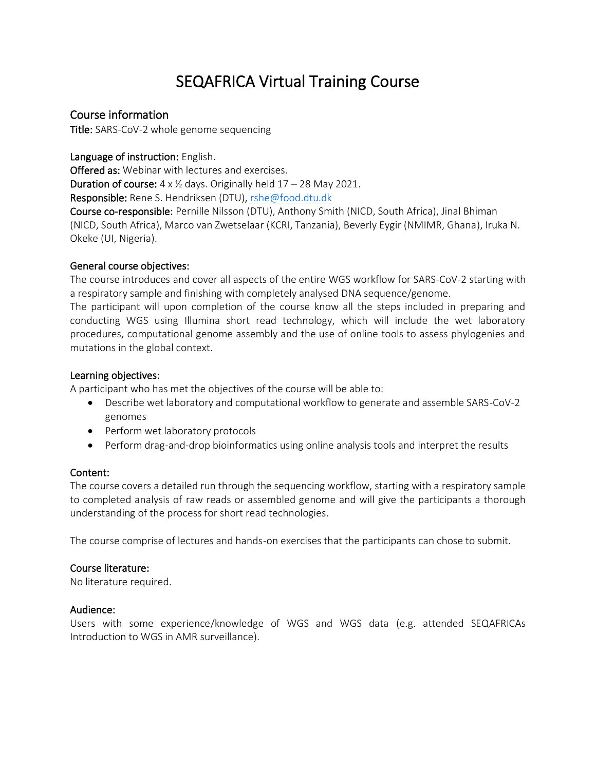# SEQAFRICA Virtual Training Course

### Course information

Title: SARS-CoV-2 whole genome sequencing

Language of instruction: English.

Offered as: Webinar with lectures and exercises. **Duration of course:**  $4 \times \frac{1}{2}$  days. Originally held  $17 - 28$  May 2021. Responsible: Rene S. Hendriksen (DTU), [rshe@food.dtu.dk](mailto:rshe@food.dtu.dk)

Course co-responsible: Pernille Nilsson (DTU), Anthony Smith (NICD, South Africa), Jinal Bhiman (NICD, South Africa), Marco van Zwetselaar (KCRI, Tanzania), Beverly Eygir (NMIMR, Ghana), Iruka N. Okeke (UI, Nigeria).

#### General course objectives:

The course introduces and cover all aspects of the entire WGS workflow for SARS-CoV-2 starting with a respiratory sample and finishing with completely analysed DNA sequence/genome.

The participant will upon completion of the course know all the steps included in preparing and conducting WGS using Illumina short read technology, which will include the wet laboratory procedures, computational genome assembly and the use of online tools to assess phylogenies and mutations in the global context.

#### Learning objectives:

A participant who has met the objectives of the course will be able to:

- Describe wet laboratory and computational workflow to generate and assemble SARS-CoV-2 genomes
- Perform wet laboratory protocols
- Perform drag-and-drop bioinformatics using online analysis tools and interpret the results

#### Content:

The course covers a detailed run through the sequencing workflow, starting with a respiratory sample to completed analysis of raw reads or assembled genome and will give the participants a thorough understanding of the process for short read technologies.

The course comprise of lectures and hands-on exercises that the participants can chose to submit.

#### Course literature:

No literature required.

#### Audience:

Users with some experience/knowledge of WGS and WGS data (e.g. attended SEQAFRICAs Introduction to WGS in AMR surveillance).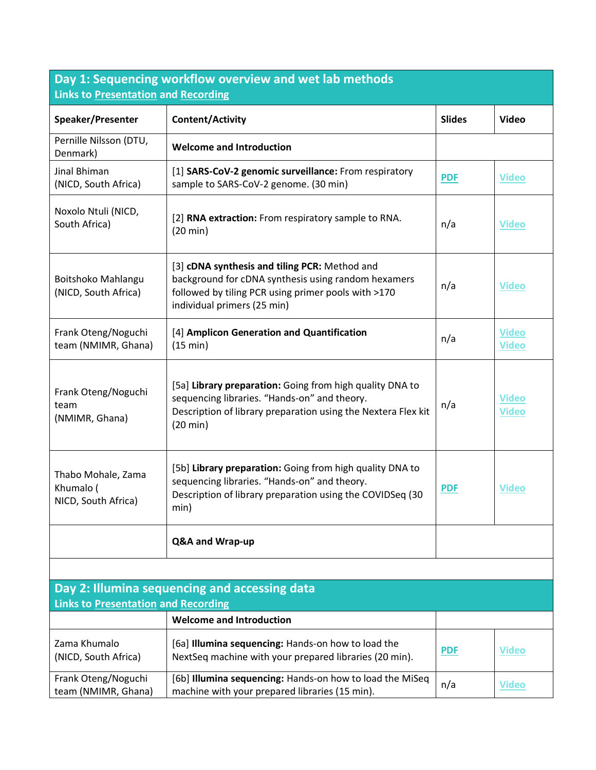| Day 1: Sequencing workflow overview and wet lab methods<br>Links to Presentation and Recording |                                                                                                                                                                                                 |               |                              |
|------------------------------------------------------------------------------------------------|-------------------------------------------------------------------------------------------------------------------------------------------------------------------------------------------------|---------------|------------------------------|
| Speaker/Presenter                                                                              | Content/Activity                                                                                                                                                                                | <b>Slides</b> | <b>Video</b>                 |
| Pernille Nilsson (DTU,<br>Denmark)                                                             | <b>Welcome and Introduction</b>                                                                                                                                                                 |               |                              |
| Jinal Bhiman<br>(NICD, South Africa)                                                           | [1] SARS-CoV-2 genomic surveillance: From respiratory<br>sample to SARS-CoV-2 genome. (30 min)                                                                                                  | <b>PDF</b>    | <b>Video</b>                 |
| Noxolo Ntuli (NICD,<br>South Africa)                                                           | [2] RNA extraction: From respiratory sample to RNA.<br>$(20 \text{ min})$                                                                                                                       | n/a           | <b>Video</b>                 |
| Boitshoko Mahlangu<br>(NICD, South Africa)                                                     | [3] cDNA synthesis and tiling PCR: Method and<br>background for cDNA synthesis using random hexamers<br>followed by tiling PCR using primer pools with >170<br>individual primers (25 min)      | n/a           | <b>Video</b>                 |
| Frank Oteng/Noguchi<br>team (NMIMR, Ghana)                                                     | [4] Amplicon Generation and Quantification<br>(15 min)                                                                                                                                          | n/a           | <b>Video</b><br><b>Video</b> |
| Frank Oteng/Noguchi<br>team<br>(NMIMR, Ghana)                                                  | [5a] Library preparation: Going from high quality DNA to<br>sequencing libraries. "Hands-on" and theory.<br>Description of library preparation using the Nextera Flex kit<br>$(20 \text{ min})$ | n/a           | <b>Video</b><br><b>Video</b> |
| Thabo Mohale, Zama<br>Khumalo (<br>NICD, South Africa)                                         | [5b] Library preparation: Going from high quality DNA to<br>sequencing libraries. "Hands-on" and theory.<br>Description of library preparation using the COVIDSeq (30<br>min)                   | <b>PDF</b>    | <b>Video</b>                 |
|                                                                                                | Q&A and Wrap-up                                                                                                                                                                                 |               |                              |
|                                                                                                |                                                                                                                                                                                                 |               |                              |
| Day 2: Illumina sequencing and accessing data<br><b>Links to Presentation and Recording</b>    |                                                                                                                                                                                                 |               |                              |
|                                                                                                | <b>Welcome and Introduction</b>                                                                                                                                                                 |               |                              |
| Zama Khumalo<br>(NICD, South Africa)                                                           | [6a] Illumina sequencing: Hands-on how to load the<br>NextSeq machine with your prepared libraries (20 min).                                                                                    | <b>PDF</b>    | <b>Video</b>                 |

[6b] **Illumina sequencing:** Hands-on how to load the MiSeq

Lebi**numina sequencing:** Hands-on how to load the Miseq<br>machine with your prepared libraries (15 min).

Frank Oteng/Noguchi team (NMIMR, Ghana)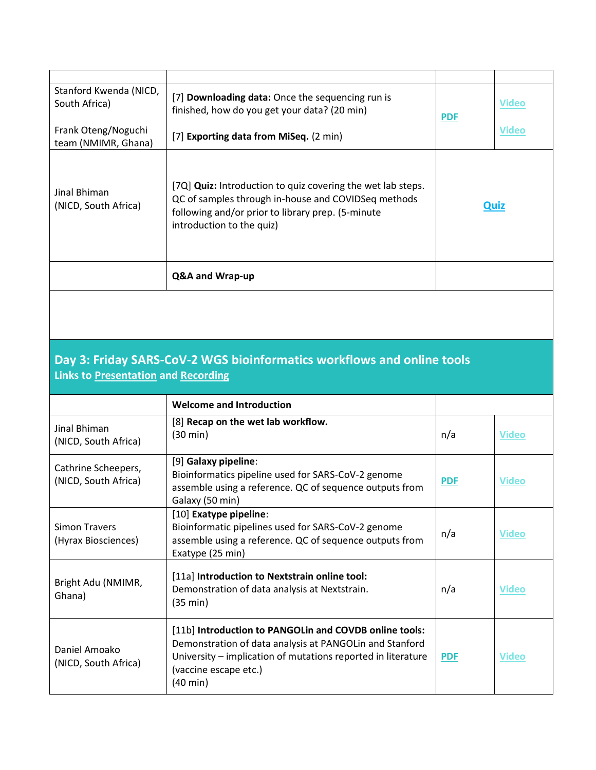| Stanford Kwenda (NICD,<br>South Africa)    | [7] Downloading data: Once the sequencing run is<br>finished, how do you get your data? (20 min)                                                                                                            | <b>PDF</b> | <b>Video</b> |
|--------------------------------------------|-------------------------------------------------------------------------------------------------------------------------------------------------------------------------------------------------------------|------------|--------------|
| Frank Oteng/Noguchi<br>team (NMIMR, Ghana) | [7] Exporting data from MiSeq. (2 min)                                                                                                                                                                      |            | <b>Video</b> |
| Jinal Bhiman<br>(NICD, South Africa)       | [7Q] <b>Quiz:</b> Introduction to quiz covering the wet lab steps.<br>QC of samples through in-house and COVIDSeq methods<br>following and/or prior to library prep. (5-minute<br>introduction to the quiz) | Quiz       |              |
|                                            | Q&A and Wrap-up                                                                                                                                                                                             |            |              |

## **Day 3: Friday SARS-CoV-2 WGS bioinformatics workflows and online tools Links to [Presentation](https://antimicrobialresistance-dk.danaweb5.com/CustomerData/Files/Folders/13-seqafrica-course-pdfs/219_day-3-sars-cov-2-whole-genome-sequencing.pdf) and [Recording](https://video.dtu.dk/media/Day+3+SARS-CoV-2+wgs+Zoom+recording+-+edited/0_7ielwo0k)**

|                                             | <b>Welcome and Introduction</b>                                                                                                                                                                                        |            |              |
|---------------------------------------------|------------------------------------------------------------------------------------------------------------------------------------------------------------------------------------------------------------------------|------------|--------------|
| Jinal Bhiman<br>(NICD, South Africa)        | [8] Recap on the wet lab workflow.<br>$(30 \text{ min})$                                                                                                                                                               | n/a        | <b>Video</b> |
| Cathrine Scheepers,<br>(NICD, South Africa) | [9] Galaxy pipeline:<br>Bioinformatics pipeline used for SARS-CoV-2 genome<br>assemble using a reference. QC of sequence outputs from<br>Galaxy (50 min)                                                               | <b>PDF</b> | <b>Video</b> |
| Simon Travers<br>(Hyrax Biosciences)        | [10] Exatype pipeline:<br>Bioinformatic pipelines used for SARS-CoV-2 genome<br>assemble using a reference. QC of sequence outputs from<br>Exatype (25 min)                                                            | n/a        | <b>Video</b> |
| Bright Adu (NMIMR,<br>Ghana)                | [11a] Introduction to Nextstrain online tool:<br>Demonstration of data analysis at Nextstrain.<br>(35 min)                                                                                                             | n/a        | <b>Video</b> |
| Daniel Amoako<br>(NICD, South Africa)       | [11b] Introduction to PANGOLin and COVDB online tools:<br>Demonstration of data analysis at PANGOLIn and Stanford<br>University – implication of mutations reported in literature<br>(vaccine escape etc.)<br>(40 min) | <b>PDF</b> | <b>Video</b> |